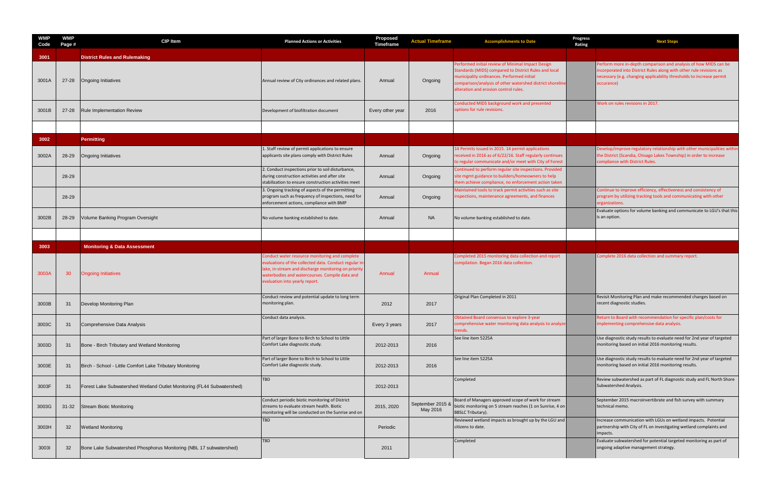| <b>WMP</b><br>Code | <b>WMP</b><br>Page # | <b>CIP Item</b>                                                        | <b>Planned Actions or Activities</b>                                                                                                                                                                                                                | <b>Proposed</b><br>Timeframe | <b>Actual Timeframe</b>      | <b>Accomplishments to Date</b>                                                                                                                                                                                                                                 |
|--------------------|----------------------|------------------------------------------------------------------------|-----------------------------------------------------------------------------------------------------------------------------------------------------------------------------------------------------------------------------------------------------|------------------------------|------------------------------|----------------------------------------------------------------------------------------------------------------------------------------------------------------------------------------------------------------------------------------------------------------|
| 3001               |                      | <b>District Rules and Rulemaking</b>                                   |                                                                                                                                                                                                                                                     |                              |                              |                                                                                                                                                                                                                                                                |
| 3001A              | $27 - 28$            | <b>Ongoing Initiatives</b>                                             | Annual review of City ordinances and related plans.                                                                                                                                                                                                 | Annual                       | Ongoing                      | Performed initial review of Minimal Impact Design<br>Standards (MIDS) compared to District Rules and local<br>municipality ordinances. Performed initial<br>comparison/analysis of other watershed district shoreline<br>alteration and erosion control rules. |
| 3001B              | $27 - 28$            | <b>Rule Implementation Review</b>                                      | Development of biofiltration document                                                                                                                                                                                                               | Every other year             | 2016                         | Conducted MIDS background work and presented<br>options for rule revisions.                                                                                                                                                                                    |
|                    |                      |                                                                        |                                                                                                                                                                                                                                                     |                              |                              |                                                                                                                                                                                                                                                                |
| 3002               |                      | <b>Permitting</b>                                                      |                                                                                                                                                                                                                                                     |                              |                              |                                                                                                                                                                                                                                                                |
| 3002A              | 28-29                | <b>Ongoing Initiatives</b>                                             | 1. Staff review of permit applications to ensure<br>applicants site plans comply with District Rules                                                                                                                                                | Annual                       | Ongoing                      | 14 Permits issued in 2015. 14 permit applications<br>received in 2016 as of 6/22/16. Staff regularly continues<br>to regular communicate and/or meet with City of Forest                                                                                       |
|                    | 28-29                |                                                                        | 2. Conduct inspections prior to soil disturbance,<br>during construction activities and after site<br>stabilization to ensure construction activities meet                                                                                          | Annual                       | Ongoing                      | Continued to perform regular site inspections. Provided<br>site mgmt guidance to builders/homeowners to help<br>them achieve compliance, no enforcement action taken                                                                                           |
|                    | 28-29                |                                                                        | 3. Ongoing tracking of aspects of the permitting<br>program such as frequency of inspections, need for<br>enforcement actions, compliance with BMP                                                                                                  | Annual                       | Ongoing                      | Maintained tools to track permit activities such as site<br>inspections, maintenance agreements, and finances                                                                                                                                                  |
| 3002B              | 28-29                | Volume Banking Program Oversight                                       | No volume banking established to date.                                                                                                                                                                                                              | Annual                       | <b>NA</b>                    | No volume banking established to date.                                                                                                                                                                                                                         |
|                    |                      |                                                                        |                                                                                                                                                                                                                                                     |                              |                              |                                                                                                                                                                                                                                                                |
| 3003               |                      | <b>Monitoring &amp; Data Assessment</b>                                |                                                                                                                                                                                                                                                     |                              |                              |                                                                                                                                                                                                                                                                |
| 3003A              | 30                   | <b>Ongoing Initiatives</b>                                             | Conduct water resource monitoring and complete<br>evaluations of the collected data. Conduct regular in<br>lake, in-stream and discharge monitoring on priority<br>waterbodies and watercourses. Compile data and<br>evaluation into yearly report. | Annual                       | Annual                       | Completed 2015 monitoring data collection and report<br>compilation. Began 2016 data collection.                                                                                                                                                               |
| 3003B              | 31                   | Develop Monitoring Plan                                                | Conduct review and potential update to long term<br>monitoring plan.                                                                                                                                                                                | 2012                         | 2017                         | Original Plan Completed in 2011                                                                                                                                                                                                                                |
| 3003C              | 31                   | Comprehensive Data Analysis                                            | Conduct data analysis.                                                                                                                                                                                                                              | Every 3 years                | 2017                         | Obtained Board consensus to explore 3-year<br>comprehensive water monitoring data analysis to analyze<br>trends.                                                                                                                                               |
| 3003D              | 31                   | Bone - Birch Tributary and Wetland Monitoring                          | Part of larger Bone to Birch to School to Little<br>Comfort Lake diagnostic study.                                                                                                                                                                  | 2012-2013                    | 2016                         | See line item 5225A                                                                                                                                                                                                                                            |
| 3003E              | 31                   | Birch - School - Little Comfort Lake Tributary Monitoring              | Part of larger Bone to Birch to School to Little<br>Comfort Lake diagnostic study.                                                                                                                                                                  | 2012-2013                    | 2016                         | See line item 5225A                                                                                                                                                                                                                                            |
| 3003F              | 31                   | Forest Lake Subwatershed Wetland Outlet Monitoring (FL44 Subwatershed) | <b>TBD</b>                                                                                                                                                                                                                                          | 2012-2013                    |                              | Completed                                                                                                                                                                                                                                                      |
| 3003G              | $31 - 32$            | <b>Stream Biotic Monitoring</b>                                        | Conduct periodic biotic monitoring of District<br>streams to evaluate stream health. Biotic<br>monitoring will be conducted on the Sunrise and on                                                                                                   | 2015, 2020                   | September 2015 &<br>May 2016 | Board of Managers approved scope of work for stream<br>biotic monitoring on 5 stream reaches (1 on Sunrise, 4 on<br><b>BBSLC Tributary).</b>                                                                                                                   |
| 3003H              | 32 <sup>2</sup>      | <b>Wetland Monitoring</b>                                              | TBD                                                                                                                                                                                                                                                 | Periodic                     |                              | Reviewed wetland impacts as brought up by the LGU and<br>citizens to date.                                                                                                                                                                                     |
| 30031              | 32                   | Bone Lake Subwatershed Phosphorus Monitoring (NBL 17 subwatershed)     | <b>TBD</b>                                                                                                                                                                                                                                          | 2011                         |                              | Completed                                                                                                                                                                                                                                                      |

| <b>Accomplishments to Date</b>                                                                                                                                                                                                                                 | Progress<br>Rating | <b>Next Steps</b>                                                                                                                                                                                                             |
|----------------------------------------------------------------------------------------------------------------------------------------------------------------------------------------------------------------------------------------------------------------|--------------------|-------------------------------------------------------------------------------------------------------------------------------------------------------------------------------------------------------------------------------|
|                                                                                                                                                                                                                                                                |                    |                                                                                                                                                                                                                               |
| Performed initial review of Minimal Impact Design<br>Standards (MIDS) compared to District Rules and local<br>municipality ordinances. Performed initial<br>comparison/analysis of other watershed district shoreline<br>alteration and erosion control rules. |                    | Perform more in-depth comparison and analysis of how MIDS can be<br>incorporated into District Rules along with other rule revisions as<br>necessary (e.g. changing applicability thresholds to increase permit<br>occurance) |
| Conducted MIDS background work and presented<br>options for rule revisions.                                                                                                                                                                                    |                    | Work on rules revisions in 2017.                                                                                                                                                                                              |
|                                                                                                                                                                                                                                                                |                    |                                                                                                                                                                                                                               |
| 14 Permits issued in 2015. 14 permit applications<br>received in 2016 as of 6/22/16. Staff regularly continues<br>to regular communicate and/or meet with City of Forest                                                                                       |                    | Develop/improve regulatory relationship with other municipalities within<br>the District (Scandia, Chisago Lakes Township) in order to increase<br>compliance with District Rules.                                            |
| Continued to perform regular site inspections. Provided<br>site mgmt guidance to builders/homeowners to help<br>them achieve compliance, no enforcement action taken                                                                                           |                    |                                                                                                                                                                                                                               |
| Maintained tools to track permit activities such as site<br>inspections, maintenance agreements, and finances                                                                                                                                                  |                    | Continue to improve efficiency, effectiveness and consistency of<br>program by utilizing tracking tools and communicating with other<br>organizations.                                                                        |
| No volume banking established to date.                                                                                                                                                                                                                         |                    | Evaluate options for volume banking and communicate to LGU's that this<br>is an option.                                                                                                                                       |
|                                                                                                                                                                                                                                                                |                    |                                                                                                                                                                                                                               |
|                                                                                                                                                                                                                                                                |                    |                                                                                                                                                                                                                               |
| Completed 2015 monitoring data collection and report<br>compilation. Began 2016 data collection.                                                                                                                                                               |                    | Complete 2016 data collection and summary report.                                                                                                                                                                             |
| Original Plan Completed in 2011                                                                                                                                                                                                                                |                    | Revisit Monitoring Plan and make recommended changes based on<br>recent diagnostic studies.                                                                                                                                   |
| Obtained Board consensus to explore 3-year<br>comprehensive water monitoring data analysis to analyze<br>trends.                                                                                                                                               |                    | Return to Board with recommendation for specific plan/costs for<br>implementing comprehensive data analysis.                                                                                                                  |
| See line item 5225A                                                                                                                                                                                                                                            |                    | Use diagnostic study results to evaluate need for 2nd year of targeted<br>monitoring based on initial 2016 monitoring results.                                                                                                |
| See line item 5225A                                                                                                                                                                                                                                            |                    | Use diagnostic study results to evaluate need for 2nd year of targeted<br>monitoring based on initial 2016 monitoring results.                                                                                                |
| Completed                                                                                                                                                                                                                                                      |                    | Review subwatershed as part of FL diagnostic study and FL North Shore<br>Subwatershed Analysis.                                                                                                                               |
| Board of Managers approved scope of work for stream<br>biotic monitoring on 5 stream reaches (1 on Sunrise, 4 on<br><b>BBSLC Tributary).</b>                                                                                                                   |                    | September 2015 macroinvertibrate and fish survey with summary<br>technical memo.                                                                                                                                              |
| Reviewed wetland impacts as brought up by the LGU and<br>citizens to date.                                                                                                                                                                                     |                    | Increase communication with LGUs on wetland impacts. Potential<br>partnership with City of FL on investigating wetland complaints and<br>impacts.                                                                             |
| Completed                                                                                                                                                                                                                                                      |                    | Evaluate subwatershed for potential targeted monitoring as part of<br>ongoing adaptive management strategy.                                                                                                                   |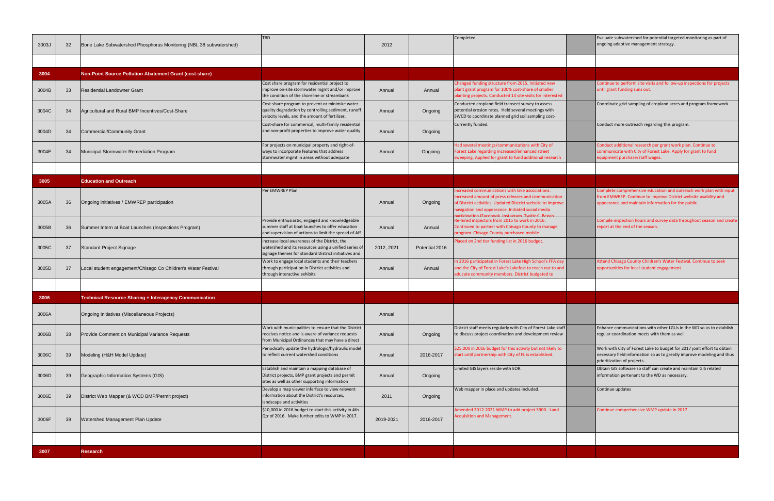| 3003J | 32 | Bone Lake Subwatershed Phosphorus Monitoring (NBL 38 subwatershed) | <b>TBD</b>                                                                                                                                                     | 2012       |                | Completed                                                                                                                                                                                                                    | Evaluate subwate<br>ongoing adaptive                           |
|-------|----|--------------------------------------------------------------------|----------------------------------------------------------------------------------------------------------------------------------------------------------------|------------|----------------|------------------------------------------------------------------------------------------------------------------------------------------------------------------------------------------------------------------------------|----------------------------------------------------------------|
|       |    |                                                                    |                                                                                                                                                                |            |                |                                                                                                                                                                                                                              |                                                                |
| 3004  |    | Non-Point Source Pollution Abatement Grant (cost-share)            |                                                                                                                                                                |            |                |                                                                                                                                                                                                                              |                                                                |
| 3004B | 33 | <b>Residential Landowner Grant</b>                                 | Cost share program for residential project to<br>improve on-site stormwater mgmt and/or improve<br>the condition of the shoreline or streambank                | Annual     | Annual         | Changed funding structure from 2015. Initiated new<br>plant grant program for 100% cost-share of smaller<br>planting projects. Conducted 14 site visits for interested                                                       | <b>Continue to perfc</b><br>until grant fundin                 |
| 3004C | 34 | Agricultural and Rural BMP Incentives/Cost-Share                   | Cost-share program to prevent or minimize water<br>quality degradation by controlling sediment, runoff<br>velocity levels, and the amount of fertilizer,       | Annual     | Ongoing        | Conducted cropland field transect survey to assess<br>potential erosion rates. Held several meetings with<br>SWCD to coordinate planned grid soil sampling cost-                                                             | Coordinate grid sa                                             |
| 3004D | 34 | <b>Commercial/Community Grant</b>                                  | Cost-share for commerical, multi-family residential<br>and non-profit properties to improve water quality                                                      | Annual     | Ongoing        | Currently funded.                                                                                                                                                                                                            | Conduct more ou                                                |
| 3004E | 34 | Municipal Stormwater Remediation Program                           | For projects on municipal property and right-of-<br>ways to incorporate features that address<br>stormwater mgmt in areas without adequate                     | Annual     | Ongoing        | Had several meetings/communications with City of<br>Forest Lake regarding increased/enhanced street<br>sweeping. Applied for grant to fund additional research                                                               | Conduct addition<br>communicate wit<br>equipment purch         |
| 3005  |    | <b>Education and Outreach</b>                                      |                                                                                                                                                                |            |                |                                                                                                                                                                                                                              |                                                                |
| 3005A | 36 | Ongoing initiatives / EMWREP participation                         | Per EMWREP Plan                                                                                                                                                | Annual     | Ongoing        | Increased communications with lake associations.<br>Increased amount of press releases and communication<br>of District activities. Updated District website to improve<br>navigation and appearance. Initiated social media | Complete compre<br>from EMWREP. C<br>appearance and r          |
| 3005B | 36 | Summer Intern at Boat Launches (Inspections Program)               | Provide enthusiastic, engaged and knowledgeable<br>summer staff at boat launches to offer education<br>and supervision of actions to limit the spread of AIS   | Annual     | Annual         | articination (Facebook Instagram Twitter) Begar<br>Re-hired inspectors from 2015 to work in 2016.<br>Continued to partner with Chisago County to manage<br>program. Chisago County purchased mobile                          | Compile inspectic<br>report at the end                         |
| 3005C | 37 | Standard Project Signage                                           | Increase local awareness of the District, the<br>watershed and its resources using a unified series of<br>signage themes for standard District initiatives and | 2012, 2021 | Potential 2016 | Placed on 2nd tier funding list in 2016 budget.                                                                                                                                                                              |                                                                |
| 3005D | 37 | Local student engagement/Chisago Co Children's Water Festival      | Work to engage local students and their teachers<br>through participation in District activities and<br>through interactive exhibits                           | Annual     | Annual         | In 2016 participated in Forest Lake High School's FFA day<br>and the City of Forest Lake's Lakefest to reach out to and<br>educate community members. District budgeted to                                                   | <b>Attend Chisago C</b><br>opportunities for                   |
| 3006  |    | Technical Resource Sharing + Interagency Communication             |                                                                                                                                                                |            |                |                                                                                                                                                                                                                              |                                                                |
| 3006A |    | Ongoing Initiatives (Miscellaneous Projects)                       |                                                                                                                                                                | Annual     |                |                                                                                                                                                                                                                              |                                                                |
| 3006B | 38 | Provide Comment on Municipal Variance Requests                     | Work with municipalities to ensure that the District<br>receives notice and is aware of variance requests<br>from Municipal Ordinances that may have a direct  | Annual     | Ongoing        | District staff meets regularly with City of Forest Lake staff<br>to discuss project coordination and development review                                                                                                      | Enhance commur<br>regular coordinat                            |
| 3006C | 39 | Modeling (H&H Model Update)                                        | Periodically update the hydrologic/hydraulic model<br>to reflect current watershed conditions                                                                  | Annual     | 2016-2017      | \$25,000 in 2016 budget for this activity but not likely to<br>start until partnership with City of FL is established.                                                                                                       | Work with City of<br>necessary field in<br>prioritization of p |
| 3006D | 39 | Geographic Information Systems (GIS)                               | Establish and maintain a mapping database of<br>District projects, BMP grant projects and permit<br>sites as well as other supporting information              | Annual     | Ongoing        | Limited GIS layers reside with EOR.                                                                                                                                                                                          | Obtain GIS softwa<br>information perte                         |
| 3006E | 39 | District Web Mapper (& WCD BMP/Permit project)                     | Develop a map viewer inferface to view relevent<br>information about the District's resources,<br>landscape and activities                                     | 2011       | Ongoing        | Web mapper in place and updates included.                                                                                                                                                                                    | Continue updates                                               |
| 3006F | 39 | Watershed Management Plan Update                                   | \$10,000 in 2016 budget to start this activity in 4th<br>Qtr of 2016. Make further edits to WMP in 2017.                                                       | 2019-2021  | 2016-2017      | Amended 2012-2021 WMP to add project 5900 - Land<br><b>Acquisition and Management.</b>                                                                                                                                       | Continue compre                                                |
|       |    |                                                                    |                                                                                                                                                                |            |                |                                                                                                                                                                                                                              |                                                                |
| 3007  |    | <b>Research</b>                                                    |                                                                                                                                                                |            |                |                                                                                                                                                                                                                              |                                                                |

| Completed                                                                                                                                                                                                                                                                           | Evaluate subwatershed for potential targeted monitoring as part of<br>ongoing adaptive management strategy.                                                                                  |
|-------------------------------------------------------------------------------------------------------------------------------------------------------------------------------------------------------------------------------------------------------------------------------------|----------------------------------------------------------------------------------------------------------------------------------------------------------------------------------------------|
|                                                                                                                                                                                                                                                                                     |                                                                                                                                                                                              |
|                                                                                                                                                                                                                                                                                     |                                                                                                                                                                                              |
| Changed funding structure from 2015. Initiated new<br>plant grant program for 100% cost-share of smaller<br>planting projects. Conducted 14 site visits for interested                                                                                                              | Continue to perform site visits and follow-up inspections for projects<br>until grant funding runs out.                                                                                      |
| Conducted cropland field transect survey to assess<br>potential erosion rates. Held several meetings with<br>SWCD to coordinate planned grid soil sampling cost-                                                                                                                    | Coordinate grid sampling of cropland acres and program framework.                                                                                                                            |
| Currently funded.                                                                                                                                                                                                                                                                   | Conduct more outreach regarding this program.                                                                                                                                                |
| Had several meetings/communications with City of<br>Forest Lake regarding increased/enhanced street<br>sweeping. Applied for grant to fund additional research                                                                                                                      | Conduct additional research per grant work plan. Continue to<br>communicate with City of Forest Lake. Apply for grant to fund<br>equipment purchase/staff wages.                             |
|                                                                                                                                                                                                                                                                                     |                                                                                                                                                                                              |
|                                                                                                                                                                                                                                                                                     |                                                                                                                                                                                              |
| Increased communications with lake associations.<br>Increased amount of press releases and communication<br>of District activities. Updated District website to improve<br>navigation and appearance. Initiated social media<br>participation (Facebook, Instagram, Twitter), Began | Complete comprehensive education and outreach work plan with input<br>from EMWREP. Continue to improve District website usability and<br>appearance and maintain information for the public. |
| Re-hired inspectors from 2015 to work in 2016.<br>Continued to partner with Chisago County to manage<br>program. Chisago County purchased mobile                                                                                                                                    | Compile inspection hours and survey data throughout season and create<br>report at the end of the season.                                                                                    |
| Placed on 2nd tier funding list in 2016 budget.                                                                                                                                                                                                                                     |                                                                                                                                                                                              |
| In 2016 participated in Forest Lake High School's FFA day<br>and the City of Forest Lake's Lakefest to reach out to and<br>educate community members. District budgeted to                                                                                                          | Attend Chisago County Children's Water Festival. Continue to seek<br>opportunities for local student engagement.                                                                             |
|                                                                                                                                                                                                                                                                                     |                                                                                                                                                                                              |
|                                                                                                                                                                                                                                                                                     |                                                                                                                                                                                              |
|                                                                                                                                                                                                                                                                                     |                                                                                                                                                                                              |
| District staff meets regularly with City of Forest Lake staff<br>to discuss project coordination and development review                                                                                                                                                             | Enhance communications with other LGUs in the WD so as to establish<br>regular coordination meets with them as well.                                                                         |
| \$25,000 in 2016 budget for this activity but not likely to<br>start until partnership with City of FL is established.                                                                                                                                                              | Work with City of Forest Lake to budget for 2017 joint effort to obtain<br>necessary field information so as to greatly improve modeling and thus<br>prioritization of projects.             |
| Limited GIS layers reside with EOR.                                                                                                                                                                                                                                                 | Obtain GIS software so staff can create and maintain GIS related<br>information pertenant to the WD as necessary.                                                                            |
| Web mapper in place and updates included.                                                                                                                                                                                                                                           | Continue updates                                                                                                                                                                             |
| Amended 2012-2021 WMP to add project 5900 - Land<br><b>Acquisition and Management.</b>                                                                                                                                                                                              | Continue comprehensive WMP update in 2017.                                                                                                                                                   |
|                                                                                                                                                                                                                                                                                     |                                                                                                                                                                                              |
|                                                                                                                                                                                                                                                                                     |                                                                                                                                                                                              |
|                                                                                                                                                                                                                                                                                     |                                                                                                                                                                                              |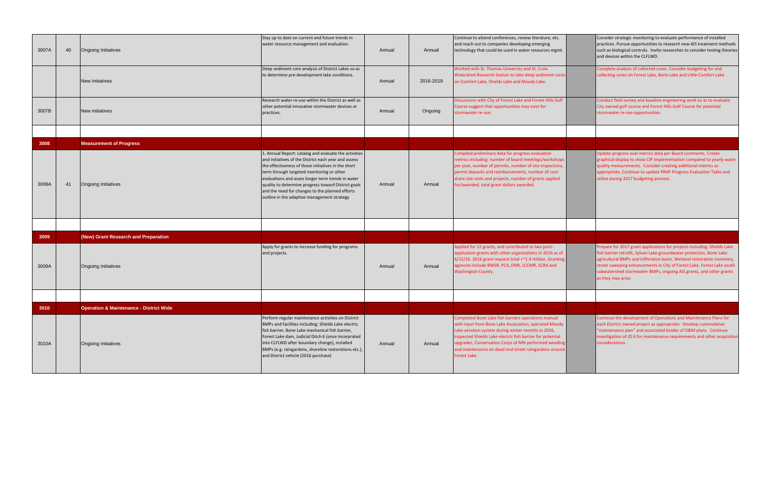| 3007A | 40 | <b>Ongoing Initiatives</b>                         | Stay up to date on current and future trends in<br>water resource management and evaluation.                                                                                                                                                                                                                                                                                                                                    | Annual | Annual    | Continue to attend conferences, review literature, etc.<br>and reach out to companies developing emerging<br>technology that could be used in water resources mgmt.                                                                                                                                                                                               |
|-------|----|----------------------------------------------------|---------------------------------------------------------------------------------------------------------------------------------------------------------------------------------------------------------------------------------------------------------------------------------------------------------------------------------------------------------------------------------------------------------------------------------|--------|-----------|-------------------------------------------------------------------------------------------------------------------------------------------------------------------------------------------------------------------------------------------------------------------------------------------------------------------------------------------------------------------|
|       |    | <b>New Initiatives</b>                             | Deep sediment core analysis of District Lakes so as<br>to determine pre-development lake conditions.                                                                                                                                                                                                                                                                                                                            | Annual | 2016-2019 | Worked with St. Thomas University and St. Croix<br>Watershed Research Station to take deep sediment cores<br>on Comfort Lake, Shields Lake and Moody Lake.                                                                                                                                                                                                        |
| 3007B |    | New Initiatives                                    | Research water re-use within the District as well as<br>other potential innovative stormwater devices or<br>practices.                                                                                                                                                                                                                                                                                                          | Annual | Ongoing   | Discussions with City of Forest Lake and Forest Hills Golf<br>Course suggest that opportunities may exist for<br>stormwater re-use.                                                                                                                                                                                                                               |
|       |    |                                                    |                                                                                                                                                                                                                                                                                                                                                                                                                                 |        |           |                                                                                                                                                                                                                                                                                                                                                                   |
| 3008  |    | <b>Measurement of Progress</b>                     |                                                                                                                                                                                                                                                                                                                                                                                                                                 |        |           |                                                                                                                                                                                                                                                                                                                                                                   |
| 3008A | 41 | Ongoing Initiatives                                | 1. Annual Report: catalog and evaluate the activities<br>and initiatives of the District each year and assess<br>the effectiveness of those initiatives in the short<br>term through targeted monitoring or other<br>evaluations and asses longer term trends in water<br>quality to determine progress toward District goals<br>and the need for changes to the planned efforts<br>outline in the adaptive management strategy | Annual | Annual    | Compiled preliminary data for progress evaluation<br>metrics including: number of board meetings/workshops<br>per year, number of permits, number of site inspections,<br>permit deposits and reimbursements, number of cost-<br>share site visits and projects, number of grants applied<br>for/awarded, total grant dollars awarded.                            |
|       |    |                                                    |                                                                                                                                                                                                                                                                                                                                                                                                                                 |        |           |                                                                                                                                                                                                                                                                                                                                                                   |
| 3009  |    | (New) Grant Research and Preparation               |                                                                                                                                                                                                                                                                                                                                                                                                                                 |        |           |                                                                                                                                                                                                                                                                                                                                                                   |
| 3009A |    | <b>Ongoing Initiatives</b>                         | Apply for grants to increase funding for programs<br>and projects.                                                                                                                                                                                                                                                                                                                                                              | Annual | Annual    | Applied for 12 grants, and contributed to two joint-<br>application grants with other organizations in 2016 as of<br>6/22/16. 2016 grant request total =~1.4 million. Granting<br>agencies include BWSR, PCA, DNR, LCCMR, SCRA and<br><b>Washington County.</b>                                                                                                   |
|       |    |                                                    |                                                                                                                                                                                                                                                                                                                                                                                                                                 |        |           |                                                                                                                                                                                                                                                                                                                                                                   |
| 3010  |    | <b>Operation &amp; Maintenance - District Wide</b> |                                                                                                                                                                                                                                                                                                                                                                                                                                 |        |           |                                                                                                                                                                                                                                                                                                                                                                   |
| 3010A |    | Ongoing Initiatives                                | Perform regular maintenance activities on District<br>BMPs and facilities including: Shields Lake electric<br>fish barrier, Bone Lake mechanical fish barrier,<br>Forest Lake dam, Judicial Ditch 6 (once incorprated<br>into CLFLWD after boundary change), installed<br>BMPs (e.g. raingardens, shoreline restorations etc.),<br>and District vehicle (2016 purchase)                                                         | Annual | Annual    | Completed Bone Lake fish barriers operations manual<br>with input from Bone Lake Association, operated Moody<br>Lake aeration system during winter months in 2016,<br>inspected Shields Lake electric fish barrier for potential<br>upgrades, Conservation Corps of MN performed weeding<br>and maintenance on dead end street raingardens around<br>Forest Lake. |

| Consider strategic monitoring to evaluate performance of installed<br>practices. Pursue opportunities to research new AIS treatment methods<br>such as biological controls. Invite researches to consider testing theories<br>and devices within the CLFLWD.                                                                                                                                       |
|----------------------------------------------------------------------------------------------------------------------------------------------------------------------------------------------------------------------------------------------------------------------------------------------------------------------------------------------------------------------------------------------------|
| Complete analysis of collected cores. Consider budgeting for and<br>collecting cores on Forest Lake, Bone Lake and Little Comfort Lake.                                                                                                                                                                                                                                                            |
| Conduct field survey and baseline engineering work so as to evaluate<br>City owned golf course and Forest Hills Golf Course for potential<br>stormwater re-use opportunities.                                                                                                                                                                                                                      |
|                                                                                                                                                                                                                                                                                                                                                                                                    |
|                                                                                                                                                                                                                                                                                                                                                                                                    |
| Update progress eval metrics data per Board comments. Create<br>graphical display to show CIP implementation compared to yearly water<br>quality measurements. Consider creating additional metrics as<br>appropriate. Continue to update PRAP Progress Evaluation Table and<br>utilize during 2017 budgeting process.                                                                             |
|                                                                                                                                                                                                                                                                                                                                                                                                    |
|                                                                                                                                                                                                                                                                                                                                                                                                    |
| Prepare for 2017 grant applications for projects including: Shields Lake<br>fish barrier retrofit, Sylvan Lake groundwater protection, Bone Lake<br>agricultural BMPs and infiltration basin, Wetland restoration inventory,<br>street sweeping enhancements in City of Forest Lake, Forest Lake south<br>subwatershed stormwater BMPs, ongoing AIS grants, and other grants<br>as they may arise. |
|                                                                                                                                                                                                                                                                                                                                                                                                    |
|                                                                                                                                                                                                                                                                                                                                                                                                    |
| Continue the development of Operations and Maintenance Plans for<br>each District owned project as appropriate. Develop cummulative<br>"maintenance plan" and associated binder of O&M plans. Continue<br>investigation of JD 6 for maintenance requirements and other acquisition<br>considerations.                                                                                              |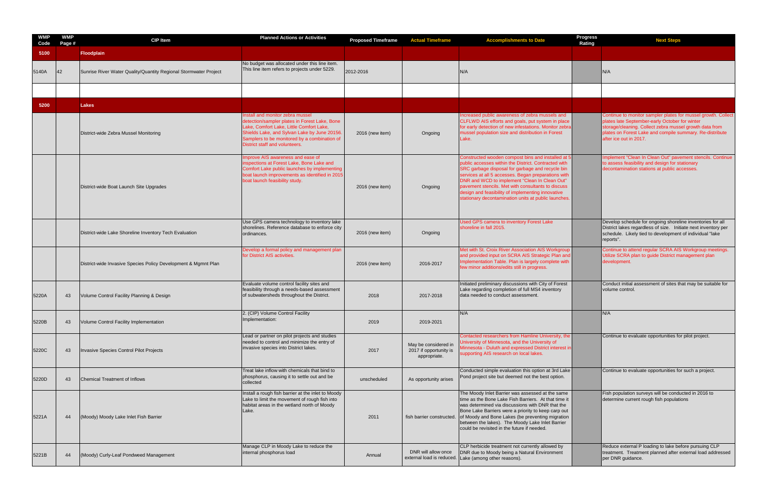| WMP<br>Code | <b>WMP</b><br>Page # | <b>CIP Item</b>                                                  | <b>Planned Actions or Activities</b>                                                                                                                                                                                        | <b>Proposed Timeframe</b> | <b>Actual Timeframe</b>                                        | <b>Accomplishments to Date</b>                                                                                                                                                                                                                                                                                                                                                                                                            | <b>Progress</b><br>Rating      |
|-------------|----------------------|------------------------------------------------------------------|-----------------------------------------------------------------------------------------------------------------------------------------------------------------------------------------------------------------------------|---------------------------|----------------------------------------------------------------|-------------------------------------------------------------------------------------------------------------------------------------------------------------------------------------------------------------------------------------------------------------------------------------------------------------------------------------------------------------------------------------------------------------------------------------------|--------------------------------|
| 5100        |                      | Floodplain                                                       |                                                                                                                                                                                                                             |                           |                                                                |                                                                                                                                                                                                                                                                                                                                                                                                                                           |                                |
| 5140A       | 42                   | Sunrise River Water Quality/Quantity Regional Stormwater Project | No budget was allocated under this line item.<br>This line item refers to projects under 5229.                                                                                                                              | 2012-2016                 |                                                                | N/A                                                                                                                                                                                                                                                                                                                                                                                                                                       | N/A                            |
|             |                      |                                                                  |                                                                                                                                                                                                                             |                           |                                                                |                                                                                                                                                                                                                                                                                                                                                                                                                                           |                                |
| 5200        |                      | <b>Lakes</b>                                                     |                                                                                                                                                                                                                             |                           |                                                                |                                                                                                                                                                                                                                                                                                                                                                                                                                           |                                |
|             |                      |                                                                  | nstall and monitor zebra mussel                                                                                                                                                                                             |                           |                                                                | Increased public awareness of zebra mussels and                                                                                                                                                                                                                                                                                                                                                                                           | Cor                            |
|             |                      | District-wide Zebra Mussel Monitoring                            | detection/sampler plates in Forest Lake, Bone<br>Lake, Comfort Lake, Little Comfort Lake,<br>Shields Lake, and Sylvan Lake by June 20156.<br>Samplers to be monitored by a combination of<br>District staff and volunteers. | 2016 (new item)           | Ongoing                                                        | CLFLWD AIS efforts and goals, put system in place<br>for early detection of new infestations. Monitor zebra<br>mussel population size and distribution in Forest<br>Lake.                                                                                                                                                                                                                                                                 | plat<br>stor<br>plat<br>afte   |
|             |                      | District-wide Boat Launch Site Upgrades                          | mprove AIS awareness and ease of<br>inspections at Forest Lake, Bone Lake and<br>Comfort Lake public launches by implementing<br>boat launch improvements as identified in 2015<br>boat launch feasibility study.           | 2016 (new item)           | Ongoing                                                        | Constructed wooden compost bins and installed at 5<br>public accesses within the District. Contracted with<br>SRC garbage disposal for garbage and recycle bin<br>services at all 5 accesses. Began preparations with<br>DNR and WCD to implement "Clean In Clean Out"<br>pavement stencils. Met with consultants to discuss<br>design and feasibility of implementing innovative<br>stationary decontamination units at public launches. | Imp<br>to a<br>dec             |
|             |                      | District-wide Lake Shoreline Inventory Tech Evaluation           | Use GPS camera technology to inventory lake<br>shorelines. Reference database to enforce city<br>ordinances.                                                                                                                | 2016 (new item)           | Ongoing                                                        | Used GPS camera to inventory Forest Lake<br>shoreline in fall 2015.                                                                                                                                                                                                                                                                                                                                                                       | De<br><b>Dis</b><br>sch<br>rep |
|             |                      | District-wide Invasive Species Policy Development & Mgmnt Plan   | Develop a formal policy and management plan<br>for District AIS activities.                                                                                                                                                 | 2016 (new item)           | 2016-2017                                                      | Met with St. Croix River Association AIS Workgroup<br>and provided input on SCRA AIS Strategic Plan and<br>Implementation Table. Plan is largely complete with<br>few minor additions/edits still in progress.                                                                                                                                                                                                                            | Cor<br>Util<br>dev             |
| 5220A       | 43                   | Volume Control Facility Planning & Design                        | Evaluate volume control facility sites and<br>feasibility through a needs-based assessment<br>of subwatersheds throughout the District.                                                                                     | 2018                      | 2017-2018                                                      | Initiated preliminary discussions with City of Forest<br>Lake regarding completion of full MS4 inventory<br>data needed to conduct assessment.                                                                                                                                                                                                                                                                                            | Cor<br>volu                    |
| 5220B       | 43                   | Volume Control Facility Implementation                           | 2. (CIP) Volume Control Facility<br>Implementation:                                                                                                                                                                         | 2019                      | 2019-2021                                                      | N/A                                                                                                                                                                                                                                                                                                                                                                                                                                       | N/A                            |
| 5220C       | 43                   | Invasive Species Control Pilot Projects                          | Lead or partner on pilot projects and studies<br>needed to control and minimize the entry of<br>invasive species into District lakes.                                                                                       | 2017                      | May be considered in<br>2017 if opportunity is<br>appropriate. | Contacted researchers from Hamline University, the<br>University of Minnesota, and the University of<br>Minnesota - Duluth and expressed District interest in<br>supporting AIS research on local lakes.                                                                                                                                                                                                                                  | Cor                            |
| 5220D       | 43                   | <b>Chemical Treatment of Inflows</b>                             | Treat lake inflow with chemicals that bind to<br>phosphorus, causing it to settle out and be<br>collected                                                                                                                   | unscheduled               | As opportunity arises                                          | Conducted simple evaluation this option at 3rd Lake<br>Pond project site but deemed not the best option.                                                                                                                                                                                                                                                                                                                                  | Cor                            |
| 5221A       | 44                   | (Moody) Moody Lake Inlet Fish Barrier                            | Install a rough fish barrier at the inlet to Moody<br>Lake to limit the movement of rough fish into<br>habitat areas in the wetland north of Moody<br>Lake.                                                                 | 2011                      | fish barrier constructed.                                      | The Moody Inlet Barrier was assessed at the same<br>time as the Bone Lake Fish Barriers. At that time it<br>was determined via discussions with DNR that the<br>Bone Lake Barriers were a priority to keep carp out<br>of Moody and Bone Lakes (be preventing migration<br>between the lakes). The Moody Lake Inlet Barrier<br>could be revisited in the future if needed.                                                                | Fisl<br>det                    |
| 5221B       | 44                   | (Moody) Curly-Leaf Pondweed Management                           | Manage CLP in Moody Lake to reduce the<br>internal phosphorus load                                                                                                                                                          | Annual                    | DNR will allow once<br>external load is reduced.               | CLP herbicide treatment not currently allowed by<br>DNR due to Moody being a Natural Environment<br>Lake (among other reasons).                                                                                                                                                                                                                                                                                                           | Red<br>trea<br>per             |

| <b>Progress</b><br>Rating | <b>Next Steps</b>                                                                                                                                                                                                                                                |
|---------------------------|------------------------------------------------------------------------------------------------------------------------------------------------------------------------------------------------------------------------------------------------------------------|
|                           |                                                                                                                                                                                                                                                                  |
|                           | N/A                                                                                                                                                                                                                                                              |
|                           |                                                                                                                                                                                                                                                                  |
|                           |                                                                                                                                                                                                                                                                  |
|                           | Continue to monitor sampler plates for mussel growth. Collect<br>plates late September-early October for winter<br>storage/cleaning. Collect zebra mussel growth data from<br>plates on Forest Lake and compile summary. Re-distribute<br>after ice out in 2017. |
|                           | Implement "Clean In Clean Out" pavement stencils. Continue<br>to assess feasibility and design for stationary<br>decontamination stations at public accesses.                                                                                                    |
|                           | Develop schedule for ongoing shoreline inventories for all<br>District lakes regardless of size. Initiate next inventory per<br>schedule. Likely tied to development of individual "lake<br>reports".                                                            |
|                           | Continue to attend regular SCRA AIS Workgroup meetings.<br>Utilize SCRA plan to guide District management plan<br>development.                                                                                                                                   |
|                           | Conduct initial assessment of sites that may be suitable for<br>volume control.                                                                                                                                                                                  |
|                           | N/A                                                                                                                                                                                                                                                              |
|                           | Continue to evaluate opportunities for pilot project.                                                                                                                                                                                                            |
|                           | Continue to evaluate opportunities for such a project.                                                                                                                                                                                                           |
|                           | Fish population surveys will be conducted in 2016 to<br>determine current rough fish populations                                                                                                                                                                 |
|                           | Reduce external P loading to lake before pursuing CLP<br>treatment. Treatment planned after external load addressed<br>per DNR guidance.                                                                                                                         |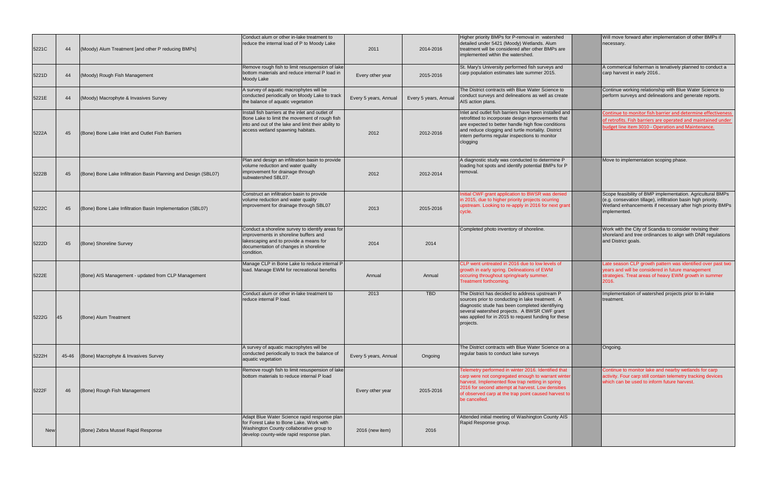| 5221C      | 44        | (Moody) Alum Treatment [and other P reducing BMPs]              | Conduct alum or other in-lake treatment to<br>reduce the internal load of P to Moody Lake                                                                                                     | 2011                  | 2014-2016             | Higher priority BMPs for P-removal in watershed<br>detailed under 5421 (Moody) Wetlands. Alum<br>treatment will be considered after other BMPs are<br>implemented within the watershed.                                                                                                     |
|------------|-----------|-----------------------------------------------------------------|-----------------------------------------------------------------------------------------------------------------------------------------------------------------------------------------------|-----------------------|-----------------------|---------------------------------------------------------------------------------------------------------------------------------------------------------------------------------------------------------------------------------------------------------------------------------------------|
| 5221D      | 44        | (Moody) Rough Fish Management                                   | Remove rough fish to limit resuspension of lake<br>bottom materials and reduce internal P load in<br>Moody Lake                                                                               | Every other year      | 2015-2016             | St. Mary's University performed fish surveys and<br>carp population estimates late summer 2015.                                                                                                                                                                                             |
| 5221E      | 44        | (Moody) Macrophyte & Invasives Survey                           | A survey of aquatic macrophytes will be<br>conducted periodically on Moody Lake to track<br>the balance of aquatic vegetation                                                                 | Every 5 years, Annual | Every 5 years, Annual | The District contracts with Blue Water Science to<br>conduct surveys and delineations as well as create<br>AIS action plans.                                                                                                                                                                |
| 5222A      | 45        | (Bone) Bone Lake Inlet and Outlet Fish Barriers                 | Install fish barriers at the inlet and outlet of<br>Bone Lake to limit the movement of rough fish<br>into and out of the lake and limit their ability to<br>access wetland spawning habitats. | 2012                  | 2012-2016             | Inlet and outlet fish barriers have been installed and<br>retrofitted to incorporate design improvements that<br>are expected to better handle high flow conditions<br>and reduce clogging and turtle mortality. District<br>intern performs regular inspections to monitor<br>clogging     |
| 5222B      | 45        | (Bone) Bone Lake Infiltration Basin Planning and Design (SBL07) | Plan and design an infiltration basin to provide<br>volume reduction and water quality<br>improvement for drainage through<br>subwatershed SBL07.                                             | 2012                  | 2012-2014             | A diagnostic study was conducted to determine P<br>loading hot spots and identify potential BMPs for P<br>removal.                                                                                                                                                                          |
| 5222C      | 45        | (Bone) Bone Lake Infiltration Basin Implementation (SBL07)      | Construct an infiltration basin to provide<br>volume reduction and water quality<br>improvement for drainage through SBL07                                                                    | 2013                  | 2015-2016             | Initial CWF grant application to BWSR was denied<br>in 2015, due to higher priority projects ocurring<br>upstream. Looking to re-apply in 2016 for next grant<br>cycle.                                                                                                                     |
| 5222D      | 45        | (Bone) Shoreline Survey                                         | Conduct a shoreline survey to identify areas for<br>improvements in shoreline buffers and<br>lakescaping and to provide a means for<br>documentation of changes in shoreline<br>condition.    | 2014                  | 2014                  | Completed photo inventory of shoreline.                                                                                                                                                                                                                                                     |
| 5222E      |           | (Bone) AIS Management - updated from CLP Management             | Manage CLP in Bone Lake to reduce internal P<br>load. Manage EWM for recreational benefits                                                                                                    | Annual                | Annual                | CLP went untreated in 2016 due to low levels of<br>growth in early spring. Delineations of EWM<br>occuring throughout spring/early summer.<br>Treatment forthcoming.                                                                                                                        |
| 5222G      | <b>45</b> | (Bone) Alum Treatment                                           | Conduct alum or other in-lake treatment to<br>reduce internal P load.                                                                                                                         | 2013                  | <b>TBD</b>            | The District has decided to address upstream P<br>sources prior to conducting in lake treatment. A<br>diagnostic stude has been completed identifiying<br>several watershed projects. A BWSR CWF grant<br>was applied for in 2015 to request funding for these<br>projects.                 |
| 5222H      | 45-46     | (Bone) Macrophyte & Invasives Survey                            | A survey of aquatic macrophytes will be<br>conducted periodically to track the balance of<br>aquatic vegetation                                                                               | Every 5 years, Annual | Ongoing               | The District contracts with Blue Water Science on a<br>regular basis to conduct lake surveys                                                                                                                                                                                                |
| 5222F      | 46        | (Bone) Rough Fish Management                                    | Remove rough fish to limit resuspension of lake<br>bottom materials to reduce internal P load                                                                                                 | Every other year      | 2015-2016             | Telemetry performed in winter 2016. Identified that<br>carp were not congregated enough to warrant winter<br>harvest. Implemented flow trap netting in spring<br>2016 for second attempt at harvest. Low densities<br>of observed carp at the trap point caused harvest to<br>be cancelled. |
| <b>New</b> |           | (Bone) Zebra Mussel Rapid Response                              | Adapt Blue Water Science rapid response plan<br>for Forest Lake to Bone Lake. Work with<br>Washington County collaborative group to<br>develop county-wide rapid response plan.               | 2016 (new item)       | 2016                  | Attended initial meeting of Washington County AIS<br>Rapid Response group.                                                                                                                                                                                                                  |

| Higher priority BMPs for P-removal in watershed<br>detailed under 5421 (Moody) Wetlands. Alum<br>treatment will be considered after other BMPs are<br>implemented within the watershed.                                                                                                     | Will move forward after implementation of other BMPs if<br>necessary.                                                                                                                                     |
|---------------------------------------------------------------------------------------------------------------------------------------------------------------------------------------------------------------------------------------------------------------------------------------------|-----------------------------------------------------------------------------------------------------------------------------------------------------------------------------------------------------------|
| St. Mary's University performed fish surveys and<br>carp population estimates late summer 2015.                                                                                                                                                                                             | A commerical fisherman is tenatively planned to conduct a<br>carp harvest in early 2016                                                                                                                   |
| The District contracts with Blue Water Science to<br>conduct surveys and delineations as well as create<br>AIS action plans.                                                                                                                                                                | Continue working relationship with Blue Water Science to<br>perform surveys and delineations and generate reports.                                                                                        |
| Inlet and outlet fish barriers have been installed and<br>retrofitted to incorporate design improvements that<br>are expected to better handle high flow conditions<br>and reduce clogging and turtle mortality. District<br>intern performs regular inspections to monitor                 | Continue to monitor fish barrier and determine effectiveness<br>of retrofits. Fish barriers are operated and maintained under<br>budget line item 3010 - Operation and Maintenance.                       |
| clogging                                                                                                                                                                                                                                                                                    |                                                                                                                                                                                                           |
| A diagnostic study was conducted to determine P<br>loading hot spots and identify potential BMPs for P<br>removal.                                                                                                                                                                          | Move to implementation scoping phase.                                                                                                                                                                     |
| Initial CWF grant application to BWSR was denied<br>in 2015, due to higher priority projects ocurring<br>upstream. Looking to re-apply in 2016 for next grant<br>cycle.                                                                                                                     | Scope feasibility of BMP implementation. Agricultural BMPs<br>(e.g. consevation tillage), infiltration basin high priority.<br>Wetland enhancements if necessary after high priority BMPs<br>implemented. |
| Completed photo inventory of shoreline.                                                                                                                                                                                                                                                     | Work with the City of Scandia to consider revising their<br>shoreland and tree ordinances to align with DNR regulations<br>and District goals.                                                            |
| CLP went untreated in 2016 due to low levels of<br>growth in early spring. Delineations of EWM<br>occuring throughout spring/early summer.<br>Treatment forthcoming.                                                                                                                        | Late season CLP growth pattern was identified over past two<br>years and will be considered in future management<br>strategies. Treat areas of heavy EWM growth in summer<br>2016.                        |
| The District has decided to address upstream P<br>sources prior to conducting in lake treatment. A<br>diagnostic stude has been completed identifiying<br>several watershed projects. A BWSR CWF grant<br>was applied for in 2015 to request funding for these<br>projects.                 | Implementation of watershed projects prior to in-lake<br>treatment.                                                                                                                                       |
| The District contracts with Blue Water Science on a<br>regular basis to conduct lake surveys                                                                                                                                                                                                | Ongoing.                                                                                                                                                                                                  |
| Telemetry performed in winter 2016. Identified that<br>carp were not congregated enough to warrant winter<br>harvest. Implemented flow trap netting in spring<br>2016 for second attempt at harvest. Low densities<br>of observed carp at the trap point caused harvest to<br>be cancelled. | Continue to monitor lake and nearby wetlands for carp<br>activity. Four carp still contain telemetry tracking devices<br>which can be used to inform future harvest.                                      |
| Attended initial meeting of Washington County AIS<br>Rapid Response group.                                                                                                                                                                                                                  |                                                                                                                                                                                                           |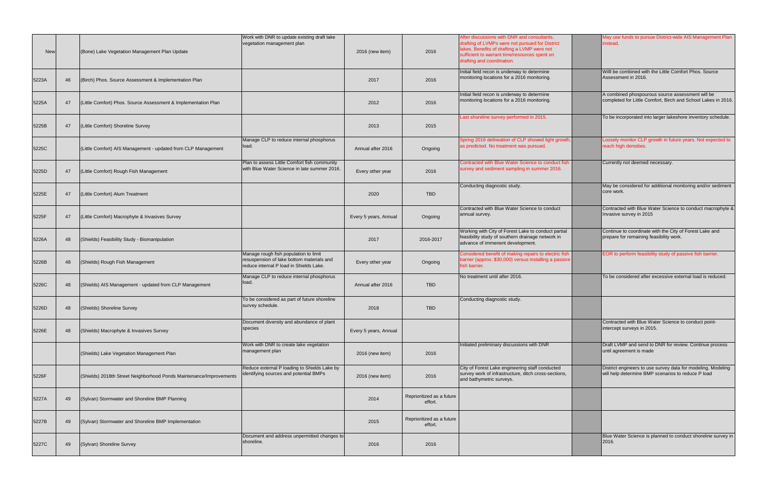| <b>New</b> |    | (Bone) Lake Vegetation Management Plan Update                       | Work with DNR to update existing draft lake<br>vegetation management plan                                                     | 2016 (new item)       | 2016                                 | After discussions with DNR and consultants.<br>drafting of LVMPs were not pursued for District<br>lakes. Benefits of drafting a LVMP were not<br>sufficient to warrant time/resources spent on<br>drafting and coordination. |
|------------|----|---------------------------------------------------------------------|-------------------------------------------------------------------------------------------------------------------------------|-----------------------|--------------------------------------|------------------------------------------------------------------------------------------------------------------------------------------------------------------------------------------------------------------------------|
| 5223A      | 46 | (Birch) Phos. Source Assessment & Implementation Plan               |                                                                                                                               | 2017                  | 2016                                 | Initial field recon is underway to determine<br>monitoring locations for a 2016 monitoring.                                                                                                                                  |
| 5225A      | 47 | (Little Comfort) Phos. Source Assessment & Implementation Plan      |                                                                                                                               | 2012                  | 2016                                 | Initial field recon is underway to determine<br>monitoring locations for a 2016 monitoring.                                                                                                                                  |
| 5225B      | 47 | (Little Comfort) Shoreline Survey                                   |                                                                                                                               | 2013                  | 2015                                 | Last shoreline survey performed in 2015.                                                                                                                                                                                     |
| 5225C      |    | (Little Comfort) AIS Management - updated from CLP Management       | Manage CLP to reduce internal phosphorus<br>load.                                                                             | Annual after 2016     | Ongoing                              | Spring 2016 delineation of CLP showed light growth,<br>as predicted. No treatment was pursued.                                                                                                                               |
| 5225D      | 47 | (Little Comfort) Rough Fish Management                              | Plan to assess Little Comfort fish community<br>with Blue Water Science in late summer 2016.                                  | Every other year      | 2016                                 | Contracted with Blue Water Science to conduct fish<br>survey and sediment sampling in summer 2016.                                                                                                                           |
| 5225E      | 47 | (Little Comfort) Alum Treatment                                     |                                                                                                                               | 2020                  | <b>TBD</b>                           | Conducting diagnostic study.                                                                                                                                                                                                 |
| 5225F      | 47 | (Little Comfort) Macrophyte & Invasives Survey                      |                                                                                                                               | Every 5 years, Annual | Ongoing                              | Contracted with Blue Water Science to conduct<br>annual survey.                                                                                                                                                              |
| 5226A      | 48 | (Shields) Feasibility Study - Biomanipulation                       |                                                                                                                               | 2017                  | 2016-2017                            | Working with City of Forest Lake to conduct partial<br>feasibility study of southern drainage network in<br>advance of immenent development.                                                                                 |
| 5226B      | 48 | (Shields) Rough Fish Management                                     | Manage rough fish population to limit<br>resuspension of lake bottom materials and<br>reduce internal P load in Shields Lake. | Every other year      | Ongoing                              | Considered benefit of making repairs to electric fish<br>barrier (approx. \$30,000) versus installing a passive<br>fish barrier.                                                                                             |
| 5226C      | 48 | (Shields) AIS Management - updated from CLP Management              | Manage CLP to reduce internal phosphorus<br>load.                                                                             | Annual after 2016     | <b>TBD</b>                           | No treatment until after 2016.                                                                                                                                                                                               |
| 5226D      | 48 | (Shields) Shoreline Survey                                          | To be considered as part of future shoreline<br>survey schedule.                                                              | 2018                  | <b>TBD</b>                           | Conducting diagnostic study.                                                                                                                                                                                                 |
| 5226E      | 48 | (Shields) Macrophyte & Invasives Survey                             | Document diversity and abundance of plant<br>species                                                                          | Every 5 years, Annual |                                      |                                                                                                                                                                                                                              |
|            |    | (Shields) Lake Vegetation Management Plan                           | Work with DNR to create lake vegetation<br>management plan                                                                    | 2016 (new item)       | 2016                                 | Initiated preliminary discussions with DNR                                                                                                                                                                                   |
| 5226F      |    | (Shields) 2018th Street Neighborhood Ponds Maintenance/Improvements | Reduce external P loading to Shields Lake by<br>identifying sources and potential BMPs                                        | 2016 (new item)       | 2016                                 | City of Forest Lake engineering staff conducted<br>survey work of infrastructure, ditch cross-sections,<br>and bathymetric surveys.                                                                                          |
| 5227A      | 49 | (Sylvan) Stormwater and Shoreline BMP Planning                      |                                                                                                                               | 2014                  | Reprioritized as a future<br>effort. |                                                                                                                                                                                                                              |
| 5227B      | 49 | (Sylvan) Stormwater and Shoreline BMP Implementation                |                                                                                                                               | 2015                  | Reprioritized as a future<br>effort. |                                                                                                                                                                                                                              |
| 5227C      | 49 | (Sylvan) Shoreline Survey                                           | Document and address unpermitted changes to<br>shoreline.                                                                     | 2016                  | 2016                                 |                                                                                                                                                                                                                              |

| After discussions with DNR and consultants,<br>drafting of LVMPs were not pursued for District<br>lakes. Benefits of drafting a LVMP were not<br>sufficient to warrant time/resources spent on<br>drafting and coordination. | May use funds to pursue District-wide AIS Management Plan<br>instead.                                              |
|------------------------------------------------------------------------------------------------------------------------------------------------------------------------------------------------------------------------------|--------------------------------------------------------------------------------------------------------------------|
| Initial field recon is underway to determine<br>monitoring locations for a 2016 monitoring.                                                                                                                                  | Willl be combined with the Little Comfort Phos. Source<br>Assessment in 2016.                                      |
| Initial field recon is underway to determine<br>monitoring locations for a 2016 monitoring.                                                                                                                                  | A combined phospourous source assessment will be<br>completed for Little Comfort, Birch and School Lakes in 2016.  |
| Last shoreline survey performed in 2015.                                                                                                                                                                                     | To be incorporated into larger lakeshore inventory schedule.                                                       |
| Spring 2016 delineation of CLP showed light growth,<br>as predicted. No treatment was pursued.                                                                                                                               | Loosely monitor CLP growth in future years. Not expected to<br>reach high densities.                               |
| Contracted with Blue Water Science to conduct fish<br>survey and sediment sampling in summer 2016.                                                                                                                           | Currently not deemed necessary.                                                                                    |
| Conducting diagnostic study.                                                                                                                                                                                                 | May be considered for additional monitoring and/or sediment<br>core work.                                          |
| Contracted with Blue Water Science to conduct<br>annual survey.                                                                                                                                                              | Contracted with Blue Water Science to conduct macrophyte &<br>Invasive survey in 2015                              |
| Working with City of Forest Lake to conduct partial<br>feasibility study of southern drainage network in<br>advance of immenent development.                                                                                 | Continue to coordinate with the City of Forest Lake and<br>prepare for remaining feasibility work.                 |
| Considered benefit of making repairs to electric fish<br>barrier (approx. \$30,000) versus installing a passive<br>fish barrier.                                                                                             | EOR to perform feasibility study of passive fish barrier.                                                          |
| No treatment until after 2016.                                                                                                                                                                                               | To be considered after excessive external load is reduced.                                                         |
| Conducting diagnostic study.                                                                                                                                                                                                 |                                                                                                                    |
|                                                                                                                                                                                                                              | Contracted with Blue Water Science to conduct point-<br>intercept surveys in 2015.                                 |
| Initiated preliminary discussions with DNR                                                                                                                                                                                   | Draft LVMP and send to DNR for review. Continue process<br>until agreement is made                                 |
| City of Forest Lake engineering staff conducted<br>survey work of infrastructure, ditch cross-sections,<br>and bathymetric surveys.                                                                                          | District engineers to use survey data for modeling. Modeling<br>will help determine BMP scenarios to reduce P load |
|                                                                                                                                                                                                                              |                                                                                                                    |
|                                                                                                                                                                                                                              |                                                                                                                    |
|                                                                                                                                                                                                                              | Blue Water Science is planned to conduct shoreline survey in<br>2016.                                              |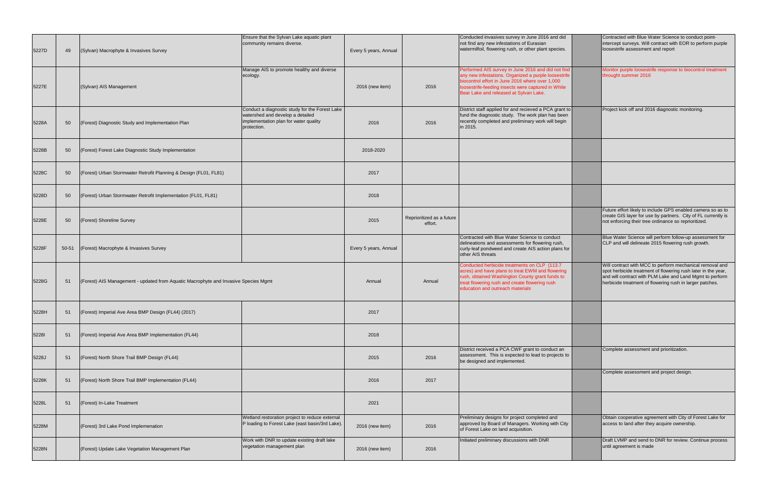|       |       |                                                                                     | Ensure that the Sylvan Lake aquatic plant<br>community remains diverse.                                                                    |                       |                                      | Conducted invasives survey in June 2016 and did<br>not find any new infestations of Eurasian                                                                                                                                                                  |
|-------|-------|-------------------------------------------------------------------------------------|--------------------------------------------------------------------------------------------------------------------------------------------|-----------------------|--------------------------------------|---------------------------------------------------------------------------------------------------------------------------------------------------------------------------------------------------------------------------------------------------------------|
| 5227D | 49    | (Sylvan) Macrophyte & Invasives Survey                                              |                                                                                                                                            | Every 5 years, Annual |                                      | watermilfoil, flowering rush, or other plant species.                                                                                                                                                                                                         |
| 5227E |       | (Sylvan) AIS Management                                                             | Manage AIS to promote healthy and diverse<br>ecology.                                                                                      | 2016 (new item)       | 2016                                 | Performed AIS survey in June 2016 and did not find<br>any new infestations. Organized a purple loosestrife<br>biocontrol effort in June 2016 where over 1,000<br>loosestrife-feeding insects were captured in White<br>Bear Lake and released at Sylvan Lake. |
| 5228A | 50    | (Forest) Diagnostic Study and Implementation Plan                                   | Conduct a diagnostic study for the Forest Lake<br>watershed and develop a detailed<br>implementation plan for water quality<br>protection. | 2016                  | 2016                                 | District staff applied for and recieved a PCA grant to<br>fund the diagnostic study. The work plan has been<br>recently completed and preliminary work will begin<br>in 2015.                                                                                 |
| 5228B | 50    | (Forest) Forest Lake Diagnostic Study Implementation                                |                                                                                                                                            | 2018-2020             |                                      |                                                                                                                                                                                                                                                               |
| 5228C | 50    | (Forest) Urban Stormwater Retrofit Planning & Design (FL01, FL81)                   |                                                                                                                                            | 2017                  |                                      |                                                                                                                                                                                                                                                               |
| 5228D | 50    | (Forest) Urban Stormwater Retrofit Implementation (FL01, FL81)                      |                                                                                                                                            | 2018                  |                                      |                                                                                                                                                                                                                                                               |
| 5228E | 50    | (Forest) Shoreline Survey                                                           |                                                                                                                                            | 2015                  | Reprioritized as a future<br>effort. |                                                                                                                                                                                                                                                               |
| 5228F | 50-51 | (Forest) Macrophyte & Invasives Survey                                              |                                                                                                                                            | Every 5 years, Annual |                                      | Contracted with Blue Water Science to conduct<br>delineations and assessments for flowering rush,<br>curly-leaf pondweed and create AIS action plans for<br>other AIS threats                                                                                 |
| 5228G | 51    | (Forest) AIS Management - updated from Aquatic Macrophyte and Invasive Species Mgmt |                                                                                                                                            | Annual                | Annual                               | Conducted herbicide treatments on CLP (113.7)<br>acres) and have plans to treat EWM and flowering<br>rush, obtained Washington County grant funds to<br>treat flowering rush and create flowering rush<br>education and outreach materials                    |
| 5228H | 51    | (Forest) Imperial Ave Area BMP Design (FL44) (2017)                                 |                                                                                                                                            | 2017                  |                                      |                                                                                                                                                                                                                                                               |
| 52281 | 51    | (Forest) Imperial Ave Area BMP Implementation (FL44)                                |                                                                                                                                            | 2018                  |                                      |                                                                                                                                                                                                                                                               |
| 5228J | 51    | (Forest) North Shore Trail BMP Design (FL44)                                        |                                                                                                                                            | 2015                  | 2016                                 | District received a PCA CWF grant to conduct an<br>assessment. This is expected to lead to projects to<br>be designed and implemented.                                                                                                                        |
| 5228K | 51    | (Forest) North Shore Trail BMP Implementation (FL44)                                |                                                                                                                                            | 2016                  | 2017                                 |                                                                                                                                                                                                                                                               |
| 5228L | 51    | (Forest) In-Lake Treatment                                                          |                                                                                                                                            | 2021                  |                                      |                                                                                                                                                                                                                                                               |
| 5228M |       | (Forest) 3rd Lake Pond Implemenation                                                | Wetland restoration project to reduce external<br>P loading to Forest Lake (east basin/3rd Lake).                                          | 2016 (new item)       | 2016                                 | Preliminary designs for project completed and<br>approved by Board of Managers. Working with City<br>of Forest Lake on land acquisition.                                                                                                                      |
| 5228N |       | (Forest) Update Lake Vegetation Management Plan                                     | Work with DNR to update existing draft lake<br>vegetation management plan                                                                  | 2016 (new item)       | 2016                                 | Initiated preliminary discussions with DNR                                                                                                                                                                                                                    |

| Conducted invasives survey in June 2016 and did<br>not find any new infestations of Eurasian<br>watermilfoil, flowering rush, or other plant species.                                                                                                         | Contracted with Blue Water Science to conduct point-<br>intercept surveys. Will contract with EOR to perform purple<br>loosestrife assessment and report                                                                                          |
|---------------------------------------------------------------------------------------------------------------------------------------------------------------------------------------------------------------------------------------------------------------|---------------------------------------------------------------------------------------------------------------------------------------------------------------------------------------------------------------------------------------------------|
| Performed AIS survey in June 2016 and did not find<br>any new infestations. Organized a purple loosestrife<br>biocontrol effort in June 2016 where over 1,000<br>loosestrife-feeding insects were captured in White<br>Bear Lake and released at Sylvan Lake. | Monitor purple loosestrife response to biocontrol treatment<br>throught summer 2016                                                                                                                                                               |
| District staff applied for and recieved a PCA grant to<br>fund the diagnostic study. The work plan has been<br>recently completed and preliminary work will begin<br>in 2015.                                                                                 | Project kick off and 2016 diagnostic monitoring.                                                                                                                                                                                                  |
|                                                                                                                                                                                                                                                               |                                                                                                                                                                                                                                                   |
|                                                                                                                                                                                                                                                               |                                                                                                                                                                                                                                                   |
|                                                                                                                                                                                                                                                               |                                                                                                                                                                                                                                                   |
|                                                                                                                                                                                                                                                               | Future effort likely to include GPS enabled camera so as to<br>create GIS layer for use by partners. City of FL currently is<br>not enforcing their tree ordinance so reprioritized.                                                              |
| Contracted with Blue Water Science to conduct<br>delineations and assessments for flowering rush,<br>curly-leaf pondweed and create AIS action plans for<br>other AIS threats                                                                                 | Blue Water Science will perform follow-up assessment for<br>CLP and will delineate 2015 flowering rush growth.                                                                                                                                    |
| Conducted herbicide treatments on CLP (113.7<br>acres) and have plans to treat EWM and flowering<br>rush, obtained Washington County grant funds to<br>treat flowering rush and create flowering rush<br>education and outreach materials                     | Will contract with MCC to perform mechanical removal and<br>spot herbicide treatment of flowering rush later in the year,<br>and will contract with PLM Lake and Land Mgmt to perform<br>herbicide treatment of flowering rush in larger patches. |
|                                                                                                                                                                                                                                                               |                                                                                                                                                                                                                                                   |
|                                                                                                                                                                                                                                                               |                                                                                                                                                                                                                                                   |
| District received a PCA CWF grant to conduct an<br>assessment. This is expected to lead to projects to<br>be designed and implemented.                                                                                                                        | Complete assessment and prioritization.                                                                                                                                                                                                           |
|                                                                                                                                                                                                                                                               | Complete assessment and project design.                                                                                                                                                                                                           |
|                                                                                                                                                                                                                                                               |                                                                                                                                                                                                                                                   |
| Preliminary designs for project completed and<br>approved by Board of Managers. Working with City<br>of Forest Lake on land acquisition.                                                                                                                      | Obtain cooperative agreement with City of Forest Lake for<br>access to land after they acquire ownership.                                                                                                                                         |
| Initiated preliminary discussions with DNR                                                                                                                                                                                                                    | Draft LVMP and send to DNR for review. Continue process<br>until agreement is made                                                                                                                                                                |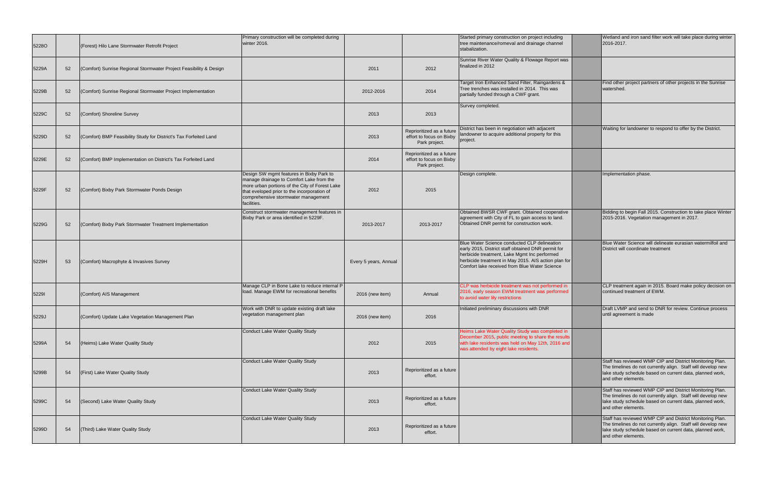| <b>52280</b> |    | (Forest) Hilo Lane Stormwater Retrofit Project                     | Primary construction will be completed during<br>winter 2016.                                                                                                                                                                               |                       |                                                                        | Started primary construction on project including<br>tree maintenance/romeval and drainage channel<br>stabalization.                                                                                                                                        | Wetland and iron sand<br>2016-2017.                                                               |
|--------------|----|--------------------------------------------------------------------|---------------------------------------------------------------------------------------------------------------------------------------------------------------------------------------------------------------------------------------------|-----------------------|------------------------------------------------------------------------|-------------------------------------------------------------------------------------------------------------------------------------------------------------------------------------------------------------------------------------------------------------|---------------------------------------------------------------------------------------------------|
| 5229A        | 52 | (Comfort) Sunrise Regional Stormwater Project Feasibility & Design |                                                                                                                                                                                                                                             | 2011                  | 2012                                                                   | Sunrise River Water Quality & Flowage Report was<br>finalized in 2012                                                                                                                                                                                       |                                                                                                   |
| 5229B        | 52 | (Comfort) Sunrise Regional Stormwater Project Implementation       |                                                                                                                                                                                                                                             | 2012-2016             | 2014                                                                   | Target Iron Enhanced Sand Filter, Raingardens &<br>Tree trenches was installed in 2014. This was<br>partially funded through a CWF grant.                                                                                                                   | Find other project partr<br>watershed.                                                            |
| 5229C        | 52 | (Comfort) Shoreline Survey                                         |                                                                                                                                                                                                                                             | 2013                  | 2013                                                                   | Survey completed.                                                                                                                                                                                                                                           |                                                                                                   |
| 5229D        | 52 | (Comfort) BMP Feasibility Study for District's Tax Forfeited Land  |                                                                                                                                                                                                                                             | 2013                  | Reprioritized as a future<br>effort to focus on Bixby<br>Park project. | District has been in negotiation with adjacent<br>landowner to acquire additional property for this<br>project.                                                                                                                                             | Waiting for landowner                                                                             |
| 5229E        | 52 | (Comfort) BMP Implementation on District's Tax Forfeited Land      |                                                                                                                                                                                                                                             | 2014                  | Reprioritized as a future<br>effort to focus on Bixby<br>Park project. |                                                                                                                                                                                                                                                             |                                                                                                   |
| 5229F        | 52 | (Comfort) Bixby Park Stormwater Ponds Design                       | Design SW mgmt features in Bixby Park to<br>manage drainage to Comfort Lake from the<br>more urban portions of the City of Forest Lake<br>that eveloped prior to the incorporation of<br>comprehensive stormwater management<br>facilities. | 2012                  | 2015                                                                   | Design complete.                                                                                                                                                                                                                                            | Implementation phase.                                                                             |
| 5229G        | 52 | (Comfort) Bixby Park Stormwater Treatment Implementation           | Construct stormwater management features in<br>Bixby Park or area identified in 5229F.                                                                                                                                                      | 2013-2017             | 2013-2017                                                              | Obtained BWSR CWF grant. Obtained cooperative<br>agreement with City of FL to gain access to land.<br>Obtained DNR permit for construction work.                                                                                                            | Bidding to begin Fall 2<br>2015-2016. Vegetation                                                  |
| 5229H        | 53 | (Comfort) Macrophyte & Invasives Survey                            |                                                                                                                                                                                                                                             | Every 5 years, Annual |                                                                        | Blue Water Science conducted CLP delineation<br>early 2015, District staff obtained DNR permit for<br>herbicide treatment, Lake Mgmt Inc performed<br>herbicide treatment in May 2015. AIS action plan for<br>Comfort lake received from Blue Water Science | <b>Blue Water Science wi</b><br>District will coordinate t                                        |
| 52291        |    | (Comfort) AIS Management                                           | Manage CLP in Bone Lake to reduce internal P<br>load. Manage EWM for recreational benefits                                                                                                                                                  | 2016 (new item)       | Annual                                                                 | CLP was herbicide treatment was not performed in<br>2016, early season EWM treatment was performed<br>to avoid water lily restrictions                                                                                                                      | CLP treatment again in<br>continued treatment of                                                  |
| 5229J        |    | (Comfort) Update Lake Vegetation Management Plan                   | Work with DNR to update existing draft lake<br>vegetation management plan                                                                                                                                                                   | 2016 (new item)       | 2016                                                                   | Initiated preliminary discussions with DNR                                                                                                                                                                                                                  | Draft LVMP and send t<br>until agreement is mad                                                   |
| 5299A        | 54 | (Heims) Lake Water Quality Study                                   | Conduct Lake Water Quality Study                                                                                                                                                                                                            | 2012                  | 2015                                                                   | Heims Lake Water Quality Study was completed in<br>December 2015, public meeting to share the results<br>with lake residents was held on May 12th, 2016 and<br>was attended by eight lake residents.                                                        |                                                                                                   |
| 5299B        | 54 | (First) Lake Water Quality Study                                   | Conduct Lake Water Quality Study                                                                                                                                                                                                            | 2013                  | Reprioritized as a future<br>effort.                                   |                                                                                                                                                                                                                                                             | Staff has reviewed WM<br>The timelines do not cu<br>lake study schedule ba<br>and other elements. |
| 5299C        | 54 | (Second) Lake Water Quality Study                                  | Conduct Lake Water Quality Study                                                                                                                                                                                                            | 2013                  | Reprioritized as a future<br>effort.                                   |                                                                                                                                                                                                                                                             | Staff has reviewed WM<br>The timelines do not cu<br>lake study schedule ba<br>and other elements. |
| 5299D        | 54 | (Third) Lake Water Quality Study                                   | Conduct Lake Water Quality Study                                                                                                                                                                                                            | 2013                  | Reprioritized as a future<br>effort.                                   |                                                                                                                                                                                                                                                             | Staff has reviewed WM<br>The timelines do not cu<br>lake study schedule ba<br>and other elements. |
|              |    |                                                                    |                                                                                                                                                                                                                                             |                       |                                                                        |                                                                                                                                                                                                                                                             |                                                                                                   |

| Started primary construction on project including<br>tree maintenance/romeval and drainage channel<br>stabalization.                                                                                                                                        | Wetland and iron sand filter work will take place during winter<br>2016-2017.                                                                                                                               |
|-------------------------------------------------------------------------------------------------------------------------------------------------------------------------------------------------------------------------------------------------------------|-------------------------------------------------------------------------------------------------------------------------------------------------------------------------------------------------------------|
| Sunrise River Water Quality & Flowage Report was<br>finalized in 2012                                                                                                                                                                                       |                                                                                                                                                                                                             |
| Target Iron Enhanced Sand Filter, Raingardens &<br>Tree trenches was installed in 2014. This was<br>partially funded through a CWF grant.                                                                                                                   | Find other project partners of other projects in the Sunrise<br>watershed.                                                                                                                                  |
| Survey completed.                                                                                                                                                                                                                                           |                                                                                                                                                                                                             |
| District has been in negotiation with adjacent<br>landowner to acquire additional property for this<br>project.                                                                                                                                             | Waiting for landowner to respond to offer by the District.                                                                                                                                                  |
|                                                                                                                                                                                                                                                             |                                                                                                                                                                                                             |
| Design complete.                                                                                                                                                                                                                                            | Implementation phase.                                                                                                                                                                                       |
| Obtained BWSR CWF grant. Obtained cooperative<br>agreement with City of FL to gain access to land.<br>Obtained DNR permit for construction work.                                                                                                            | Bidding to begin Fall 2015. Construction to take place Winter<br>2015-2016. Vegetation management in 2017.                                                                                                  |
| Blue Water Science conducted CLP delineation<br>early 2015, District staff obtained DNR permit for<br>herbicide treatment, Lake Mgmt Inc performed<br>herbicide treatment in May 2015. AIS action plan for<br>Comfort lake received from Blue Water Science | Blue Water Science will delineate eurasian watermilfoil and<br>District will coordinate treatment                                                                                                           |
| CLP was herbicide treatment was not performed in<br>2016, early season EWM treatment was performed<br>to avoid water lily restrictions                                                                                                                      | CLP treatment again in 2015. Board make policy decision on<br>continued treatment of EWM.                                                                                                                   |
| Initiated preliminary discussions with DNR                                                                                                                                                                                                                  | Draft LVMP and send to DNR for review. Continue process<br>until agreement is made                                                                                                                          |
| Heims Lake Water Quality Study was completed in<br>December 2015, public meeting to share the results<br>with lake residents was held on May 12th, 2016 and<br>was attended by eight lake residents.                                                        |                                                                                                                                                                                                             |
|                                                                                                                                                                                                                                                             | Staff has reviewed WMP CIP and District Monitoring Plan.<br>The timelines do not currently align. Staff will develop new<br>lake study schedule based on current data, planned work,<br>and other elements. |
|                                                                                                                                                                                                                                                             | Staff has reviewed WMP CIP and District Monitoring Plan.<br>The timelines do not currently align. Staff will develop new<br>lake study schedule based on current data, planned work,<br>and other elements. |
|                                                                                                                                                                                                                                                             | Staff has reviewed WMP CIP and District Monitoring Plan.<br>The timelines do not currently align. Staff will develop new<br>lake study schedule based on current data, planned work,<br>and other elements. |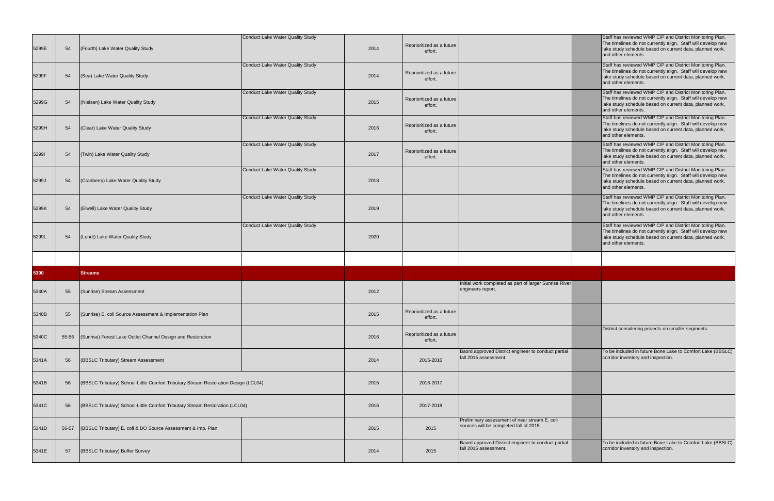| 5299E | 54    | (Fourth) Lake Water Quality Study                                                   | <b>Conduct Lake Water Quality Study</b> | 2014 | Reprioritized as a future<br>effort. |                                                                                                                                                | Staff has reviewed WMP CIP and District Monitoring Plan.<br>The timelines do not currently align. Staff will develop new<br>lake study schedule based on current data, planned work,<br>and other elements. |
|-------|-------|-------------------------------------------------------------------------------------|-----------------------------------------|------|--------------------------------------|------------------------------------------------------------------------------------------------------------------------------------------------|-------------------------------------------------------------------------------------------------------------------------------------------------------------------------------------------------------------|
| 5299F | 54    | (Sea) Lake Water Quality Study                                                      | Conduct Lake Water Quality Study        | 2014 | Reprioritized as a future<br>effort. |                                                                                                                                                | Staff has reviewed WMP CIP and District Monitoring Plan.<br>The timelines do not currently align. Staff will develop new<br>lake study schedule based on current data, planned work,<br>and other elements. |
| 5299G | 54    | (Nielsen) Lake Water Quality Study                                                  | <b>Conduct Lake Water Quality Study</b> | 2015 | Reprioritized as a future<br>effort. |                                                                                                                                                | Staff has reviewed WMP CIP and District Monitoring Plan.<br>The timelines do not currently align. Staff will develop new<br>lake study schedule based on current data, planned work,<br>and other elements. |
| 5299H | 54    | (Clear) Lake Water Quality Study                                                    | <b>Conduct Lake Water Quality Study</b> | 2016 | Reprioritized as a future<br>effort. |                                                                                                                                                | Staff has reviewed WMP CIP and District Monitoring Plan.<br>The timelines do not currently align. Staff will develop new<br>lake study schedule based on current data, planned work,<br>and other elements. |
| 52991 | 54    | (Twin) Lake Water Quality Study                                                     | Conduct Lake Water Quality Study        | 2017 | Reprioritized as a future<br>effort. |                                                                                                                                                | Staff has reviewed WMP CIP and District Monitoring Plan.<br>The timelines do not currently align. Staff will develop new<br>lake study schedule based on current data, planned work,<br>and other elements. |
| 5299J | 54    | (Cranberry) Lake Water Quality Study                                                | Conduct Lake Water Quality Study        | 2018 |                                      |                                                                                                                                                | Staff has reviewed WMP CIP and District Monitoring Plan.<br>The timelines do not currently align. Staff will develop new<br>lake study schedule based on current data, planned work,<br>and other elements. |
| 5299K | 54    | (Elwell) Lake Water Quality Study                                                   | <b>Conduct Lake Water Quality Study</b> | 2019 |                                      |                                                                                                                                                | Staff has reviewed WMP CIP and District Monitoring Plan.<br>The timelines do not currently align. Staff will develop new<br>lake study schedule based on current data, planned work,<br>and other elements. |
| 5299L | 54    | (Lendt) Lake Water Quality Study                                                    | <b>Conduct Lake Water Quality Study</b> | 2020 |                                      |                                                                                                                                                | Staff has reviewed WMP CIP and District Monitoring Plan.<br>The timelines do not currently align. Staff will develop new<br>lake study schedule based on current data, planned work,<br>and other elements. |
|       |       |                                                                                     |                                         |      |                                      |                                                                                                                                                |                                                                                                                                                                                                             |
|       |       |                                                                                     |                                         |      |                                      |                                                                                                                                                |                                                                                                                                                                                                             |
| 5300  |       | <b>Streams</b>                                                                      |                                         |      |                                      |                                                                                                                                                |                                                                                                                                                                                                             |
| 5340A | 55    | (Sunrise) Stream Assessment                                                         |                                         | 2012 |                                      | Initial work completed as part of larger Sunrise River<br>engineers report.                                                                    |                                                                                                                                                                                                             |
| 5340B | 55    | (Sunrise) E. coli Source Assessment & Implementation Plan                           |                                         | 2015 | Reprioritized as a future<br>effort. |                                                                                                                                                |                                                                                                                                                                                                             |
| 5340C | 55-56 | (Sunrise) Forest Lake Outlet Channel Design and Restoration                         |                                         | 2016 | Reprioritized as a future<br>effort. |                                                                                                                                                | District considering projects on smaller segments.                                                                                                                                                          |
| 5341A | 56    | (BBSLC Tributary) Stream Assessment                                                 |                                         | 2014 | 2015-2016                            | Baord approved District engineer to conduct partial<br>fall 2015 assessment.                                                                   | To be included in future Bone Lake to Comfort Lake (BBSLC)<br>corridor inventory and inspection.                                                                                                            |
| 5341B | 56    | (BBSLC Tributary) School-Little Comfort Tributary Stream Restoration Design (LCL04) |                                         | 2015 | 2016-2017                            |                                                                                                                                                |                                                                                                                                                                                                             |
| 5341C | 56    | (BBSLC Tributary) School-Little Comfort Tributary Stream Restoration (LCL04)        |                                         | 2016 | 2017-2018                            |                                                                                                                                                |                                                                                                                                                                                                             |
| 5341D | 56-57 | (BBSLC Tributary) E. coli & DO Source Assessment & Imp. Plan                        |                                         | 2015 | 2015                                 | Preliminary assessment of near stream E. coli<br>sources will be completed fall of 2015<br>Baord approved District engineer to conduct partial | To be included in future Bone Lake to Comfort Lake (BBSLC)                                                                                                                                                  |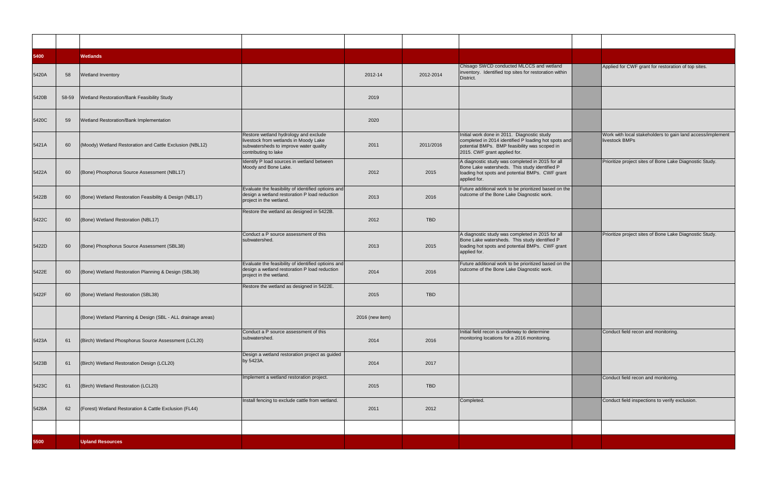| 5400  |       | <b>Wetlands</b>                                             |                                                                                                                                                  |                 |            |                                                                                                                                                                                      |                                                                              |
|-------|-------|-------------------------------------------------------------|--------------------------------------------------------------------------------------------------------------------------------------------------|-----------------|------------|--------------------------------------------------------------------------------------------------------------------------------------------------------------------------------------|------------------------------------------------------------------------------|
| 5420A | 58    | <b>Wetland Inventory</b>                                    |                                                                                                                                                  | 2012-14         | 2012-2014  | Chisago SWCD conducted MLCCS and wetland<br>inventory. Identified top sites for restoration within<br>District.                                                                      | Applied for CWF grant for restoration of top sites.                          |
| 5420B | 58-59 | Wetland Restoration/Bank Feasibility Study                  |                                                                                                                                                  | 2019            |            |                                                                                                                                                                                      |                                                                              |
| 5420C | 59    | Wetland Restoration/Bank Implementation                     |                                                                                                                                                  | 2020            |            |                                                                                                                                                                                      |                                                                              |
| 5421A | 60    | (Moody) Wetland Restoration and Cattle Exclusion (NBL12)    | Restore wetland hydrology and exclude<br>livestock from wetlands in Moody Lake<br>subwatersheds to improve water quality<br>contributing to lake | 2011            | 2011/2016  | Initial work done in 2011. Diagnostic study<br>completed in 2014 identified P loading hot spots and<br>potential BMPs. BMP feasibility was scoped in<br>2015. CWF grant applied for. | Work with local stakeholders to gain land access/implement<br>livestock BMPs |
| 5422A | 60    | (Bone) Phosphorus Source Assessment (NBL17)                 | Identify P load sources in wetland between<br>Moody and Bone Lake.                                                                               | 2012            | 2015       | A diagnostic study was completed in 2015 for all<br>Bone Lake watersheds. This study identified P<br>loading hot spots and potential BMPs. CWF grant<br>applied for.                 | Prioritize project sites of Bone Lake Diagnostic Study.                      |
| 5422B | 60    | (Bone) Wetland Restoration Feasibility & Design (NBL17)     | Evaluate the feasibility of identified optioins and<br>design a wetland restoration P load reduction<br>project in the wetland.                  | 2013            | 2016       | Future additional work to be prioritized based on the<br>outcome of the Bone Lake Diagnostic work.                                                                                   |                                                                              |
| 5422C | 60    | (Bone) Wetland Restoration (NBL17)                          | Restore the wetland as designed in 5422B.                                                                                                        | 2012            | <b>TBD</b> |                                                                                                                                                                                      |                                                                              |
| 5422D | 60    | (Bone) Phosphorus Source Assessment (SBL38)                 | Conduct a P source assessment of this<br>subwatershed.                                                                                           | 2013            | 2015       | A diagnostic study was completed in 2015 for all<br>Bone Lake watersheds. This study identified P<br>loading hot spots and potential BMPs. CWF grant<br>applied for.                 | Prioritize project sites of Bone Lake Diagnostic Study.                      |
| 5422E | 60    | (Bone) Wetland Restoration Planning & Design (SBL38)        | Evaluate the feasibility of identified optioins and<br>design a wetland restoration P load reduction<br>project in the wetland.                  | 2014            | 2016       | Future additional work to be prioritized based on the<br>outcome of the Bone Lake Diagnostic work.                                                                                   |                                                                              |
| 5422F | 60    | (Bone) Wetland Restoration (SBL38)                          | Restore the wetland as designed in 5422E.                                                                                                        | 2015            | <b>TBD</b> |                                                                                                                                                                                      |                                                                              |
|       |       | (Bone) Wetland Planning & Design (SBL - ALL drainage areas) |                                                                                                                                                  | 2016 (new item) |            |                                                                                                                                                                                      |                                                                              |
| 5423A | 61    | (Birch) Wetland Phosphorus Source Assessment (LCL20)        | Conduct a P source assessment of this<br>subwatershed.                                                                                           | 2014            | 2016       | Initial field recon is underway to determine<br>monitoring locations for a 2016 monitoring.                                                                                          | Conduct field recon and monitoring.                                          |
| 5423B | 61    | (Birch) Wetland Restoration Design (LCL20)                  | Design a wetland restoration project as guided<br>by 5423A.                                                                                      | 2014            | 2017       |                                                                                                                                                                                      |                                                                              |
| 5423C | 61    | (Birch) Wetland Restoration (LCL20)                         | Implement a wetland restoration project.                                                                                                         | 2015            | TBD        |                                                                                                                                                                                      | Conduct field recon and monitoring.                                          |
| 5428A | 62    | (Forest) Wetland Restoration & Cattle Exclusion (FL44)      | Install fencing to exclude cattle from wetland.                                                                                                  | 2011            | 2012       | Completed.                                                                                                                                                                           | Conduct field inspections to verify exclusion.                               |
|       |       |                                                             |                                                                                                                                                  |                 |            |                                                                                                                                                                                      |                                                                              |
| 5500  |       | <b>Upland Resources</b>                                     |                                                                                                                                                  |                 |            |                                                                                                                                                                                      |                                                                              |